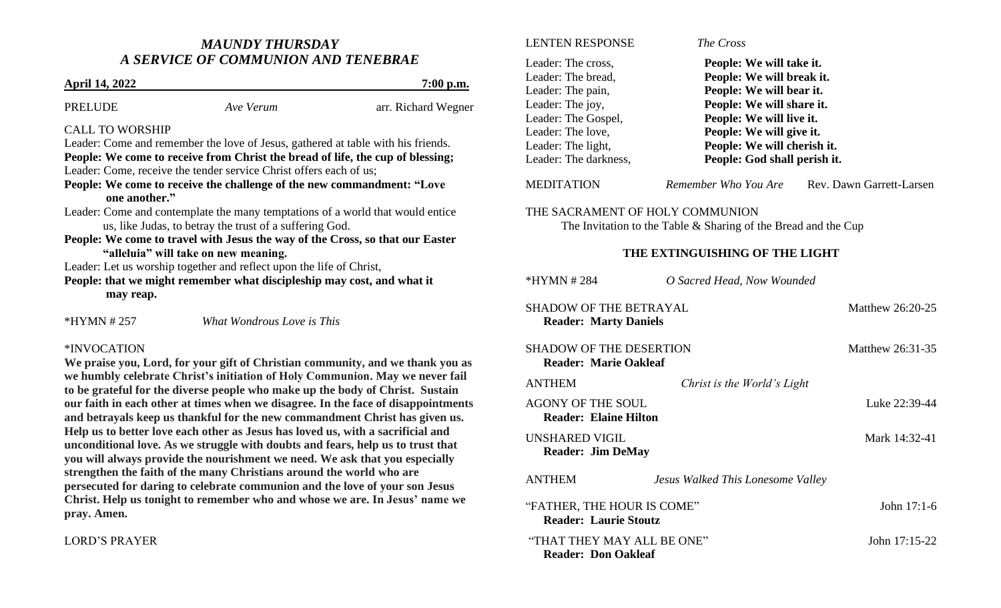# *MAUNDY THURSDAY A SERVICE OF COMMUNION AND TENEBRAE*

#### **April 14, 2022 7:00 p.m.**

PRELUDE *Ave Verum* arr. Richard Wegner

### CALL TO WORSHIP

Leader: Come and remember the love of Jesus, gathered at table with his friends. **People: We come to receive from Christ the bread of life, the cup of blessing;** Leader: Come, receive the tender service Christ offers each of us;

- **People: We come to receive the challenge of the new commandment: "Love one another."**
- Leader: Come and contemplate the many temptations of a world that would entice us, like Judas, to betray the trust of a suffering God.
- **People: We come to travel with Jesus the way of the Cross, so that our Easter "alleluia" will take on new meaning.**

Leader: Let us worship together and reflect upon the life of Christ,

**People: that we might remember what discipleship may cost, and what it may reap.**

\*HYMN # 257 *What Wondrous Love is This*

#### \*INVOCATION

**We praise you, Lord, for your gift of Christian community, and we thank you as we humbly celebrate Christ's initiation of Holy Communion. May we never fail to be grateful for the diverse people who make up the body of Christ. Sustain our faith in each other at times when we disagree. In the face of disappointments and betrayals keep us thankful for the new commandment Christ has given us. Help us to better love each other as Jesus has loved us, with a sacrificial and unconditional love. As we struggle with doubts and fears, help us to trust that you will always provide the nourishment we need. We ask that you especially strengthen the faith of the many Christians around the world who are persecuted for daring to celebrate communion and the love of your son Jesus Christ. Help us tonight to remember who and whose we are. In Jesus' name we pray. Amen.**

LORD'S PRAYER

#### LENTEN RESPONSE *The Cross*

Leader: The cross. Leader: The bread. Leader: The pain, Leader: The joy, Leader: The Gospel, Leader: The love. Leader: The light, Leader: The darkness

| People: We will take it.     |
|------------------------------|
| People: We will break it.    |
| People: We will bear it.     |
| People: We will share it.    |
| People: We will live it.     |
| People: We will give it.     |
| People: We will cherish it.  |
| People: God shall perish it. |
|                              |

| MEDITATION | Remember Who You Are | Rev. Dawn Garrett-Larsen |
|------------|----------------------|--------------------------|
|            |                      |                          |

## THE SACRAMENT OF HOLY COMMUNION

The Invitation to the Table & Sharing of the Bread and the Cup

### **THE EXTINGUISHING OF THE LIGHT**

| *HYMN #284                                                 | O Sacred Head, Now Wounded        |                  |
|------------------------------------------------------------|-----------------------------------|------------------|
| SHADOW OF THE BETRAYAL<br><b>Reader: Marty Daniels</b>     |                                   | Matthew 26:20-25 |
| SHADOW OF THE DESERTION<br><b>Reader: Marie Oakleaf</b>    |                                   | Matthew 26:31-35 |
| ANTHEM                                                     | Christ is the World's Light       |                  |
| AGONY OF THE SOUL<br><b>Reader: Elaine Hilton</b>          |                                   | Luke 22:39-44    |
| UNSHARED VIGIL<br><b>Reader: Jim DeMay</b>                 |                                   | Mark 14:32-41    |
| <b>ANTHEM</b>                                              | Jesus Walked This Lonesome Valley |                  |
| "FATHER, THE HOUR IS COME"<br><b>Reader: Laurie Stoutz</b> |                                   | John 17:1-6      |
| "THAT THEY MAY ALL BE ONE"<br><b>Reader: Don Oakleaf</b>   |                                   | John 17:15-22    |